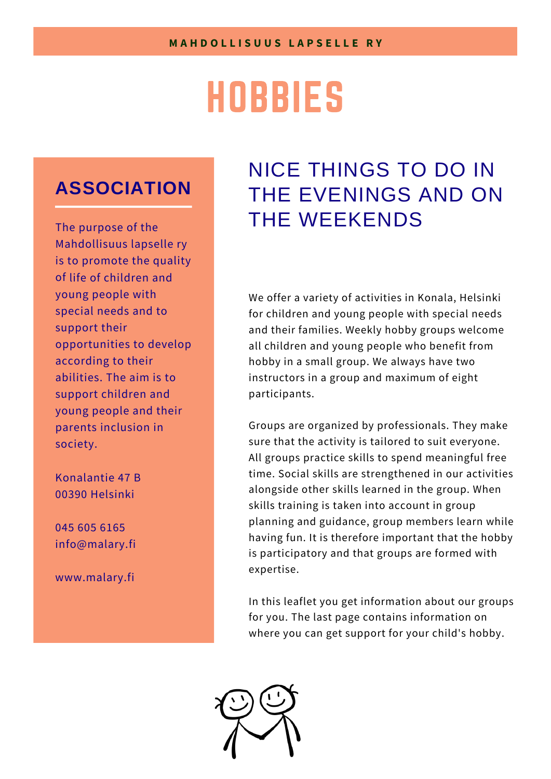# HOBBIES

# **ASSOCIATION**

The purpose of the Mahdollisuus lapselle ry is to promote the quality of life of children and young people with special needs and to support their opportunities to develop according to their abilities. The aim is to support children and young people and their parents inclusion in society.

Konalantie 47 B 00390 Helsinki

045 605 6165 info@malary.fi

www.malary.fi

# NICE THINGS TO DO IN THE EVENINGS AND ON THE WEEKENDS

We offer a variety of activities in Konala, Helsinki for children and young people with special needs and their families. Weekly hobby groups welcome all children and young people who benefit from hobby in a small group. We always have two instructors in a group and maximum of eight participants.

Groups are organized by professionals. They make sure that the activity is tailored to suit everyone. All groups practice skills to spend meaningful free time. Social skills are strengthened in our activities alongside other skills learned in the group. When skills training is taken into account in group planning and guidance, group members learn while having fun. It is therefore important that the hobby is participatory and that groups are formed with expertise.

In this leaflet you get information about our groups for you. The last page contains information on where you can get support for your child's hobby.

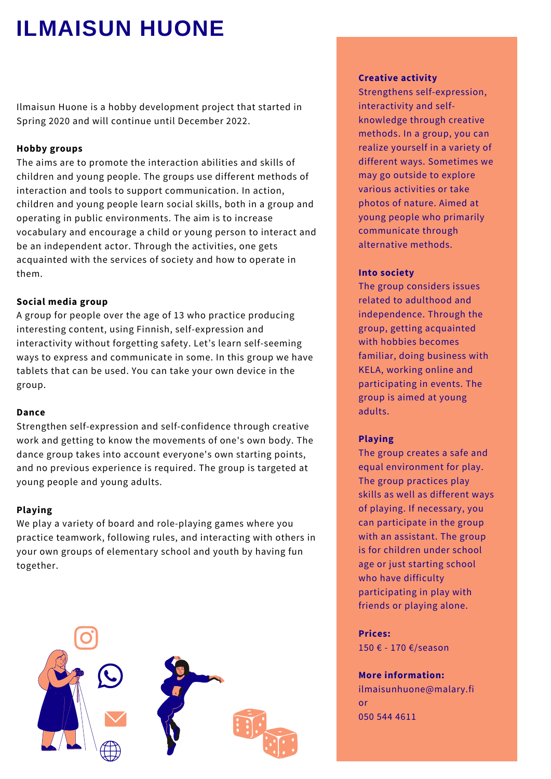# **ILMAISUN HUONE**

Ilmaisun Huone is a hobby development project that started in Spring 2020 and will continue until December 2022.

### **Hobby groups**

The aims are to promote the interaction abilities and skills of children and young people. The groups use different methods of interaction and tools to support communication. In action, children and young people learn social skills, both in a group and operating in public environments. The aim is to increase vocabulary and encourage a child or young person to interact and be an independent actor. Through the activities, one gets acquainted with the services of society and how to operate in them.

# **Social media group**

A group for people over the age of 13 who practice producing interesting content, using Finnish, self-expression and interactivity without forgetting safety. Let's learn self-seeming ways to express and communicate in some. In this group we have tablets that can be used. You can take your own device in the group.

### **Dance**

Strengthen self-expression and self-confidence through creative work and getting to know the movements of one's own body. The dance group takes into account everyone's own starting points, and no previous experience is required. The group is targeted at young people and young adults.

### **Playing**

We play a variety of board and role-playing games where you practice teamwork, following rules, and interacting with others in your own groups of elementary school and youth by having fun together.



#### **Creative activity**

Strengthens self-expression, interactivity and selfknowledge through creative methods. In a group, you can realize yourself in a variety of different ways. Sometimes we may go outside to explore various activities or take photos of nature. Aimed at young people who primarily communicate through alternative methods.

#### **Into society**

The group considers issues related to adulthood and independence. Through the group, getting acquainted with hobbies becomes familiar, doing business with KELA, working online and participating in events. The group is aimed at young adults.

### **Playing**

The group creates a safe and equal environment for play. The group practices play skills as well as different ways of playing. If necessary, you can participate in the group with an assistant. The group is for children under school age or just starting school who have difficulty participating in play with friends or playing alone.

**Prices:** 150 € - 170 €/season

### **More information:**

ilmaisunhuone@malary.fi or 050 544 4611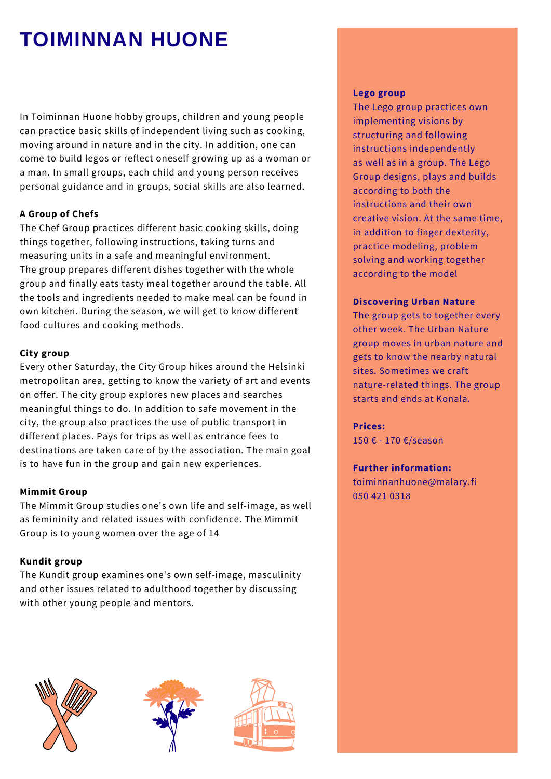# **TOIMINNAN HUONE**

In Toiminnan Huone hobby groups, children and young people can practice basic skills of independent living such as cooking, moving around in nature and in the city. In addition, one can come to build legos or reflect oneself growing up as a woman or a man. In small groups, each child and young person receives personal guidance and in groups, social skills are also learned.

# **A Group of Chefs**

The Chef Group practices different basic cooking skills, doing things together, following instructions, taking turns and measuring units in a safe and meaningful environment. The group prepares different dishes together with the whole group and finally eats tasty meal together around the table. All the tools and ingredients needed to make meal can be found in own kitchen. During the season, we will get to know different food cultures and cooking methods.

# **City group**

Every other Saturday, the City Group hikes around the Helsinki metropolitan area, getting to know the variety of art and events on offer. The city group explores new places and searches meaningful things to do. In addition to safe movement in the city, the group also practices the use of public transport in different places. Pays for trips as well as entrance fees to destinations are taken care of by the association. The main goal is to have fun in the group and gain new experiences.

# **Mimmit Group**

The Mimmit Group studies one's own life and self-image, as well as femininity and related issues with confidence. The Mimmit Group is to young women over the age of 14

# **Kundit group**

The Kundit group examines one's own self-image, masculinity and other issues related to adulthood together by discussing with other young people and mentors.







### **Lego group**

The Lego group practices own implementing visions by structuring and following instructions independently as well as in a group. The Lego Group designs, plays and builds according to both the instructions and their own creative vision. At the same time, in addition to finger dexterity, practice modeling, problem solving and working together according to the model

# **Discovering Urban Nature**

The group gets to together every other week. The Urban Nature group moves in urban nature and gets to know the nearby natural sites. Sometimes we craft nature-related things. The group starts and ends at Konala.

# **Prices:**

150 € - 170 €/season

# **Further information:**

toiminnanhuone@malary.fi 050 421 0318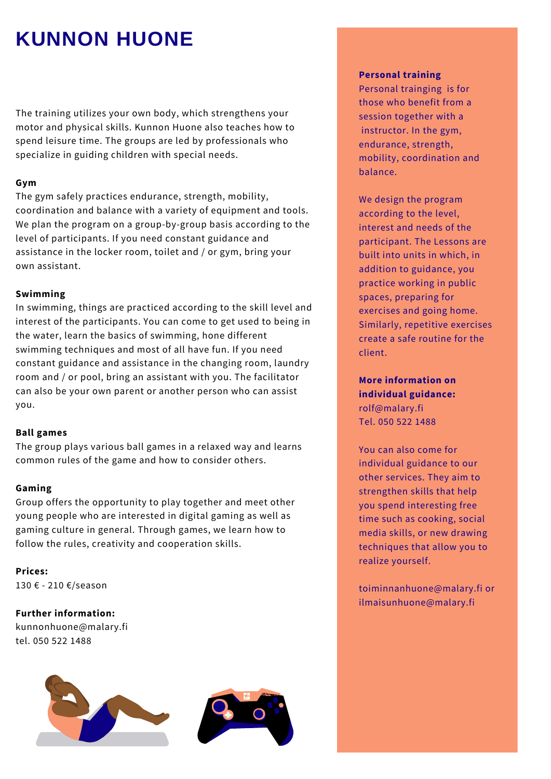# **KUNNON HUONE**

The training utilizes your own body, which strengthens your motor and physical skills. Kunnon Huone also teaches how to spend leisure time. The groups are led by professionals who specialize in guiding children with special needs.

# **Gym**

The gym safely practices endurance, strength, mobility, coordination and balance with a variety of equipment and tools. We plan the program on a group-by-group basis according to the level of participants. If you need constant guidance and assistance in the locker room, toilet and / or gym, bring your own assistant.

# **Swimming**

In swimming, things are practiced according to the skill level and interest of the participants. You can come to get used to being in the water, learn the basics of swimming, hone different swimming techniques and most of all have fun. If you need constant guidance and assistance in the changing room, laundry room and / or pool, bring an assistant with you. The facilitator can also be your own parent or another person who can assist you.

# **Ball games**

The group plays various ball games in a relaxed way and learns common rules of the game and how to consider others.

# **Gaming**

Group offers the opportunity to play together and meet other young people who are interested in digital gaming as well as gaming culture in general. Through games, we learn how to follow the rules, creativity and cooperation skills.

**Prices:**

130 € - 210 €/season

**Further information:**

kunnonhuone@malary.fi tel. 050 522 1488



### **Personal training**

Personal trainging is for those who benefit from a session together with a instructor. In the gym, endurance, strength, mobility, coordination and balance.

We design the program according to the level, interest and needs of the participant. The Lessons are built into units in which, in addition to guidance, you practice working in public spaces, preparing for exercises and going home. Similarly, repetitive exercises create a safe routine for the client.

**More information on individual guidance:** rolf@malary.fi Tel. 050 522 1488

You can also come for individual guidance to our other services. They aim to strengthen skills that help you spend interesting free time such as cooking, social media skills, or new drawing techniques that allow you to realize yourself.

toiminnanhuone@malary.fi or ilmaisunhuone@malary.fi